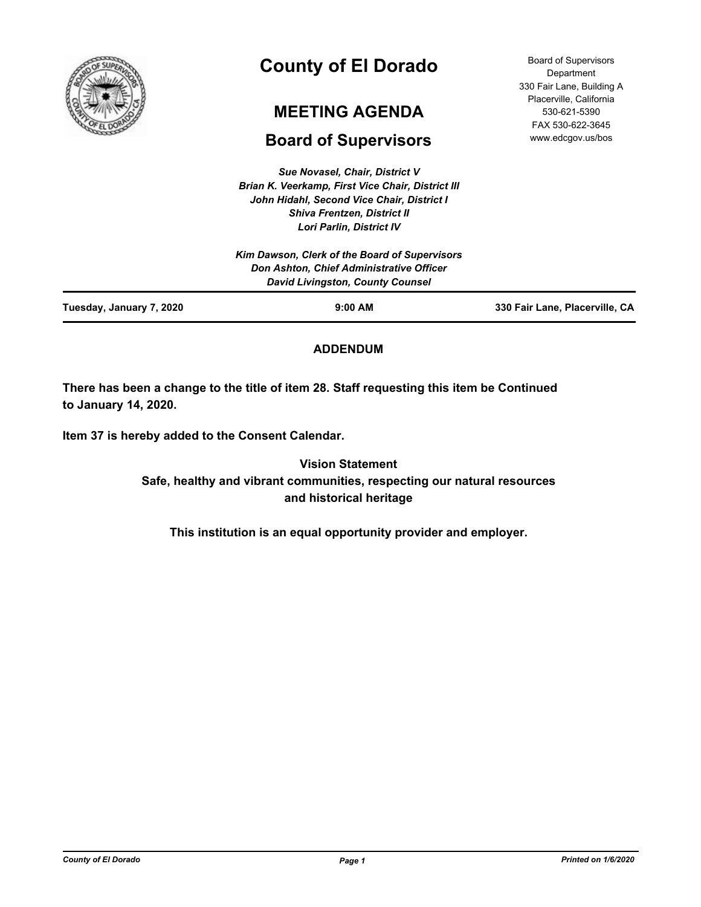

# **County of El Dorado**

# **MEETING AGENDA**

# **Board of Supervisors**

*Sue Novasel, Chair, District V Brian K. Veerkamp, First Vice Chair, District III John Hidahl, Second Vice Chair, District I Shiva Frentzen, District II Lori Parlin, District IV*

| <b>Board of Supervisors</b> |
|-----------------------------|
| Department                  |
| 330 Fair Lane, Building A   |
| Placerville, California     |
| 530-621-5390                |
| FAX 530-622-3645            |
| www.edcgov.us/bos           |

| Tuesday, January 7, 2020 | $9:00$ AM                                                                           | 330 Fair Lane, Placerville, CA |
|--------------------------|-------------------------------------------------------------------------------------|--------------------------------|
|                          | Don Ashton, Chief Administrative Officer<br><b>David Livingston, County Counsel</b> |                                |
|                          | Kim Dawson, Clerk of the Board of Supervisors                                       |                                |
|                          | LUII ANIII, DISUIGLIV                                                               |                                |

# **ADDENDUM**

**There has been a change to the title of item 28. Staff requesting this item be Continued to January 14, 2020.**

**Item 37 is hereby added to the Consent Calendar.**

**Vision Statement Safe, healthy and vibrant communities, respecting our natural resources and historical heritage**

**This institution is an equal opportunity provider and employer.**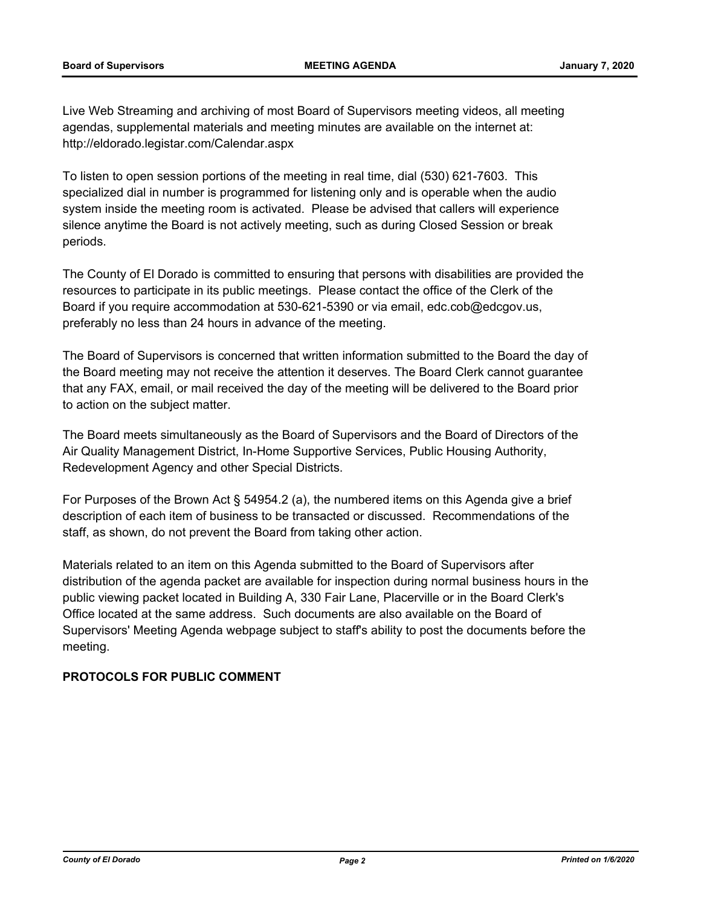Live Web Streaming and archiving of most Board of Supervisors meeting videos, all meeting agendas, supplemental materials and meeting minutes are available on the internet at: http://eldorado.legistar.com/Calendar.aspx

To listen to open session portions of the meeting in real time, dial (530) 621-7603. This specialized dial in number is programmed for listening only and is operable when the audio system inside the meeting room is activated. Please be advised that callers will experience silence anytime the Board is not actively meeting, such as during Closed Session or break periods.

The County of El Dorado is committed to ensuring that persons with disabilities are provided the resources to participate in its public meetings. Please contact the office of the Clerk of the Board if you require accommodation at 530-621-5390 or via email, edc.cob@edcgov.us, preferably no less than 24 hours in advance of the meeting.

The Board of Supervisors is concerned that written information submitted to the Board the day of the Board meeting may not receive the attention it deserves. The Board Clerk cannot guarantee that any FAX, email, or mail received the day of the meeting will be delivered to the Board prior to action on the subject matter.

The Board meets simultaneously as the Board of Supervisors and the Board of Directors of the Air Quality Management District, In-Home Supportive Services, Public Housing Authority, Redevelopment Agency and other Special Districts.

For Purposes of the Brown Act § 54954.2 (a), the numbered items on this Agenda give a brief description of each item of business to be transacted or discussed. Recommendations of the staff, as shown, do not prevent the Board from taking other action.

Materials related to an item on this Agenda submitted to the Board of Supervisors after distribution of the agenda packet are available for inspection during normal business hours in the public viewing packet located in Building A, 330 Fair Lane, Placerville or in the Board Clerk's Office located at the same address. Such documents are also available on the Board of Supervisors' Meeting Agenda webpage subject to staff's ability to post the documents before the meeting.

# **PROTOCOLS FOR PUBLIC COMMENT**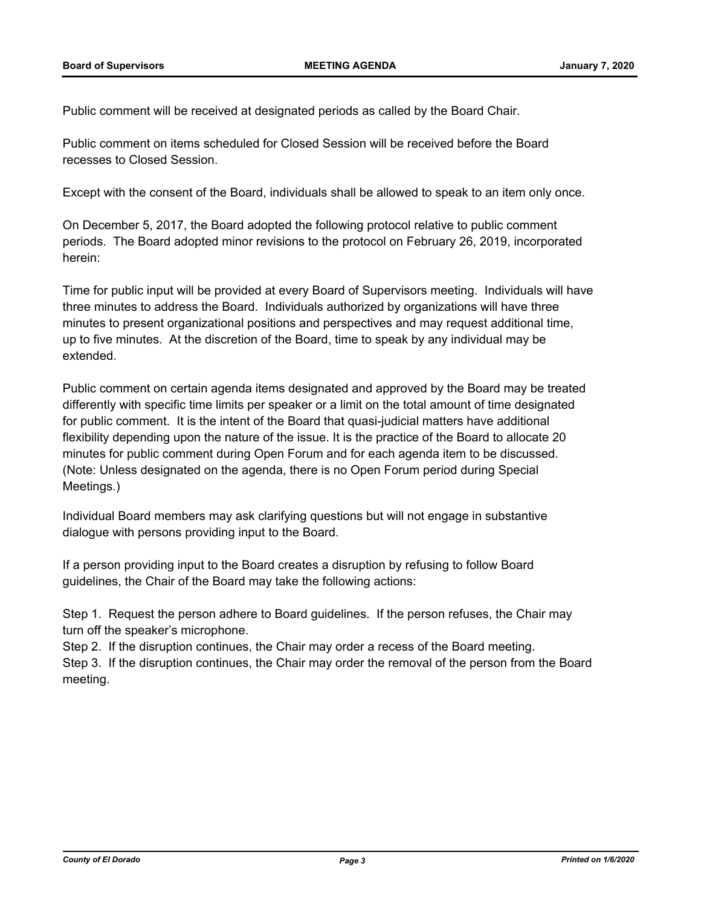Public comment will be received at designated periods as called by the Board Chair.

Public comment on items scheduled for Closed Session will be received before the Board recesses to Closed Session.

Except with the consent of the Board, individuals shall be allowed to speak to an item only once.

On December 5, 2017, the Board adopted the following protocol relative to public comment periods. The Board adopted minor revisions to the protocol on February 26, 2019, incorporated herein:

Time for public input will be provided at every Board of Supervisors meeting. Individuals will have three minutes to address the Board. Individuals authorized by organizations will have three minutes to present organizational positions and perspectives and may request additional time, up to five minutes. At the discretion of the Board, time to speak by any individual may be extended.

Public comment on certain agenda items designated and approved by the Board may be treated differently with specific time limits per speaker or a limit on the total amount of time designated for public comment. It is the intent of the Board that quasi-judicial matters have additional flexibility depending upon the nature of the issue. It is the practice of the Board to allocate 20 minutes for public comment during Open Forum and for each agenda item to be discussed. (Note: Unless designated on the agenda, there is no Open Forum period during Special Meetings.)

Individual Board members may ask clarifying questions but will not engage in substantive dialogue with persons providing input to the Board.

If a person providing input to the Board creates a disruption by refusing to follow Board guidelines, the Chair of the Board may take the following actions:

Step 1. Request the person adhere to Board guidelines. If the person refuses, the Chair may turn off the speaker's microphone.

Step 2. If the disruption continues, the Chair may order a recess of the Board meeting. Step 3. If the disruption continues, the Chair may order the removal of the person from the Board meeting.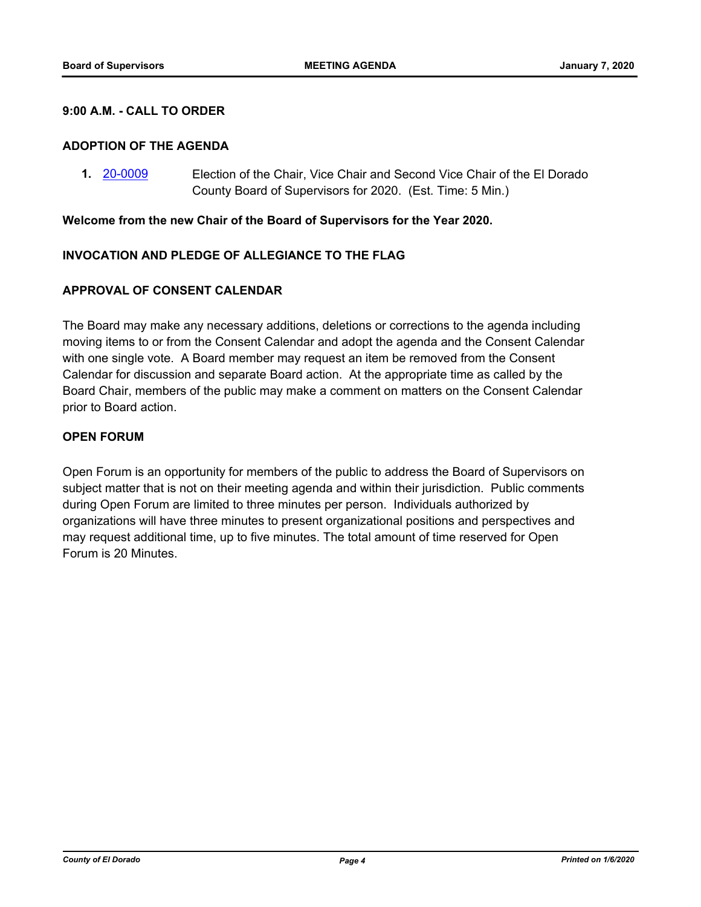## **9:00 A.M. - CALL TO ORDER**

#### **ADOPTION OF THE AGENDA**

**1.** [20-0009](http://eldorado.legistar.com/gateway.aspx?m=l&id=/matter.aspx?key=27213) Election of the Chair, Vice Chair and Second Vice Chair of the El Dorado County Board of Supervisors for 2020. (Est. Time: 5 Min.)

#### **Welcome from the new Chair of the Board of Supervisors for the Year 2020.**

# **INVOCATION AND PLEDGE OF ALLEGIANCE TO THE FLAG**

## **APPROVAL OF CONSENT CALENDAR**

The Board may make any necessary additions, deletions or corrections to the agenda including moving items to or from the Consent Calendar and adopt the agenda and the Consent Calendar with one single vote. A Board member may request an item be removed from the Consent Calendar for discussion and separate Board action. At the appropriate time as called by the Board Chair, members of the public may make a comment on matters on the Consent Calendar prior to Board action.

# **OPEN FORUM**

Open Forum is an opportunity for members of the public to address the Board of Supervisors on subject matter that is not on their meeting agenda and within their jurisdiction. Public comments during Open Forum are limited to three minutes per person. Individuals authorized by organizations will have three minutes to present organizational positions and perspectives and may request additional time, up to five minutes. The total amount of time reserved for Open Forum is 20 Minutes.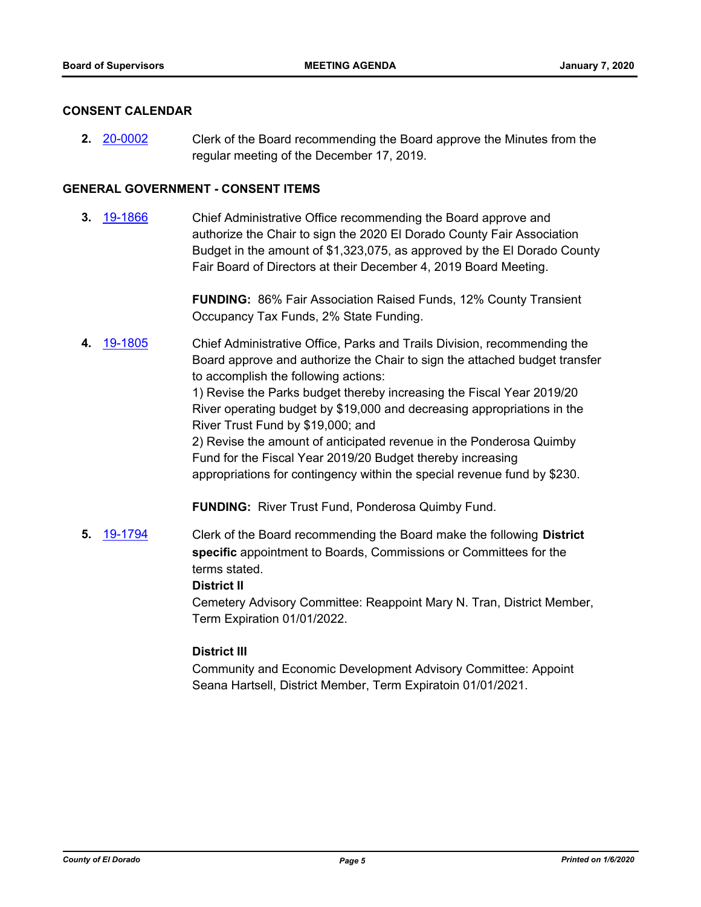## **CONSENT CALENDAR**

**2.** [20-0002](http://eldorado.legistar.com/gateway.aspx?m=l&id=/matter.aspx?key=27206) Clerk of the Board recommending the Board approve the Minutes from the regular meeting of the December 17, 2019.

# **GENERAL GOVERNMENT - CONSENT ITEMS**

**3.** [19-1866](http://eldorado.legistar.com/gateway.aspx?m=l&id=/matter.aspx?key=27190) Chief Administrative Office recommending the Board approve and authorize the Chair to sign the 2020 El Dorado County Fair Association Budget in the amount of \$1,323,075, as approved by the El Dorado County Fair Board of Directors at their December 4, 2019 Board Meeting.

> **FUNDING:** 86% Fair Association Raised Funds, 12% County Transient Occupancy Tax Funds, 2% State Funding.

**4.** [19-1805](http://eldorado.legistar.com/gateway.aspx?m=l&id=/matter.aspx?key=27129) Chief Administrative Office, Parks and Trails Division, recommending the Board approve and authorize the Chair to sign the attached budget transfer to accomplish the following actions:

> 1) Revise the Parks budget thereby increasing the Fiscal Year 2019/20 River operating budget by \$19,000 and decreasing appropriations in the River Trust Fund by \$19,000; and

2) Revise the amount of anticipated revenue in the Ponderosa Quimby Fund for the Fiscal Year 2019/20 Budget thereby increasing appropriations for contingency within the special revenue fund by \$230.

**FUNDING:** River Trust Fund, Ponderosa Quimby Fund.

**5.** [19-1794](http://eldorado.legistar.com/gateway.aspx?m=l&id=/matter.aspx?key=27118) Clerk of the Board recommending the Board make the following **District specific** appointment to Boards, Commissions or Committees for the terms stated.

# **District II**

Cemetery Advisory Committee: Reappoint Mary N. Tran, District Member, Term Expiration 01/01/2022.

# **District III**

Community and Economic Development Advisory Committee: Appoint Seana Hartsell, District Member, Term Expiratoin 01/01/2021.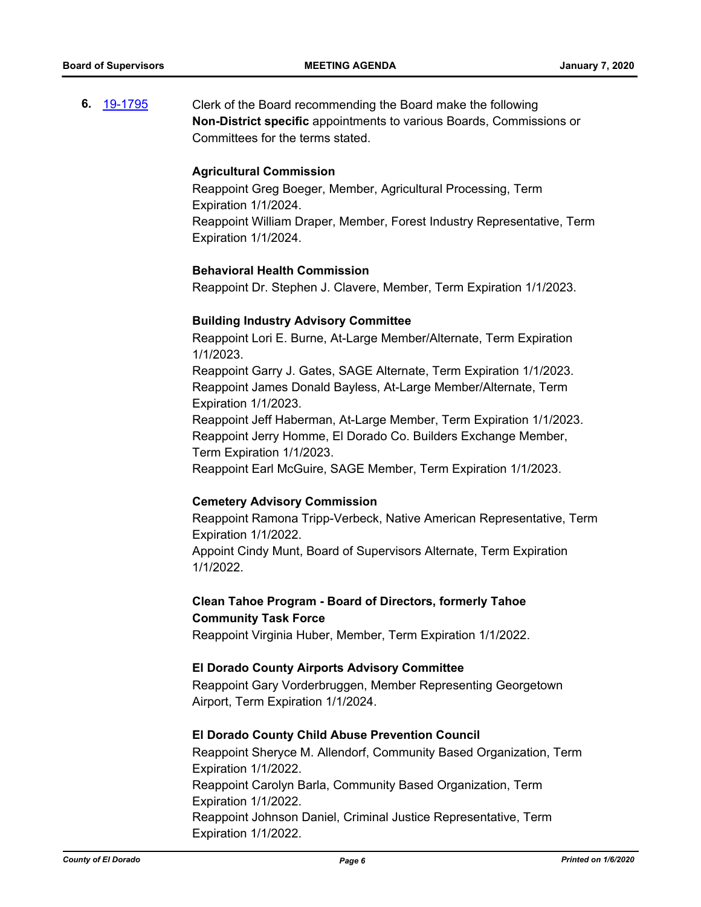**6.** [19-1795](http://eldorado.legistar.com/gateway.aspx?m=l&id=/matter.aspx?key=27119) Clerk of the Board recommending the Board make the following **Non-District specific** appointments to various Boards, Commissions or Committees for the terms stated.

#### **Agricultural Commission**

Reappoint Greg Boeger, Member, Agricultural Processing, Term Expiration 1/1/2024. Reappoint William Draper, Member, Forest Industry Representative, Term Expiration 1/1/2024.

## **Behavioral Health Commission**

Reappoint Dr. Stephen J. Clavere, Member, Term Expiration 1/1/2023.

# **Building Industry Advisory Committee**

Reappoint Lori E. Burne, At-Large Member/Alternate, Term Expiration 1/1/2023.

Reappoint Garry J. Gates, SAGE Alternate, Term Expiration 1/1/2023. Reappoint James Donald Bayless, At-Large Member/Alternate, Term Expiration 1/1/2023.

Reappoint Jeff Haberman, At-Large Member, Term Expiration 1/1/2023. Reappoint Jerry Homme, El Dorado Co. Builders Exchange Member, Term Expiration 1/1/2023.

Reappoint Earl McGuire, SAGE Member, Term Expiration 1/1/2023.

#### **Cemetery Advisory Commission**

Reappoint Ramona Tripp-Verbeck, Native American Representative, Term Expiration 1/1/2022. Appoint Cindy Munt, Board of Supervisors Alternate, Term Expiration

1/1/2022.

# **Clean Tahoe Program - Board of Directors, formerly Tahoe Community Task Force**

Reappoint Virginia Huber, Member, Term Expiration 1/1/2022.

#### **El Dorado County Airports Advisory Committee**

Reappoint Gary Vorderbruggen, Member Representing Georgetown Airport, Term Expiration 1/1/2024.

#### **El Dorado County Child Abuse Prevention Council**

Reappoint Sheryce M. Allendorf, Community Based Organization, Term Expiration 1/1/2022. Reappoint Carolyn Barla, Community Based Organization, Term Expiration 1/1/2022. Reappoint Johnson Daniel, Criminal Justice Representative, Term Expiration 1/1/2022.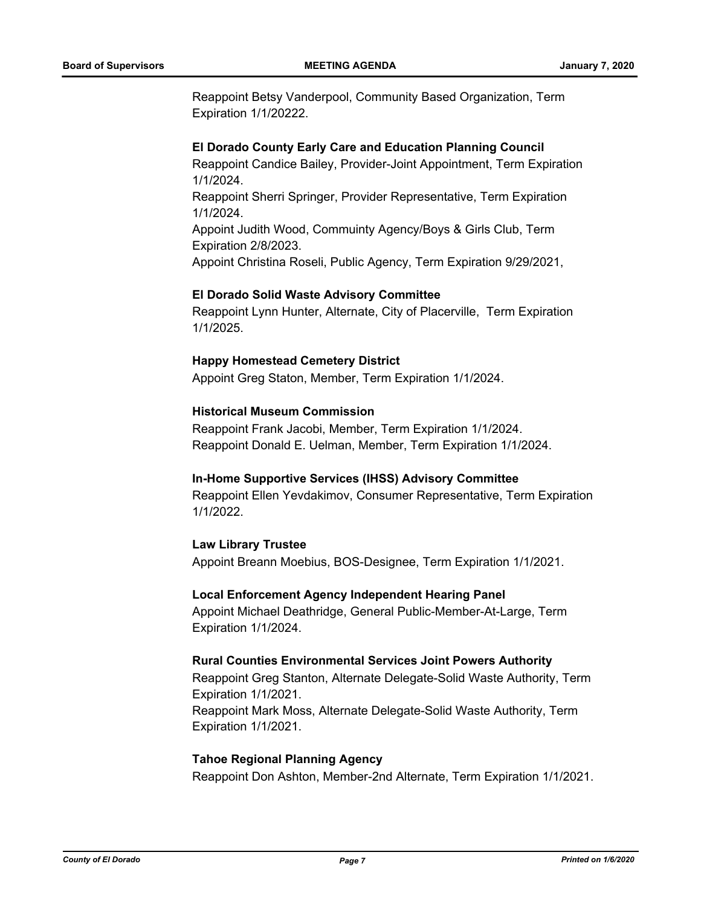Reappoint Betsy Vanderpool, Community Based Organization, Term Expiration 1/1/20222.

#### **El Dorado County Early Care and Education Planning Council**

Reappoint Candice Bailey, Provider-Joint Appointment, Term Expiration 1/1/2024.

Reappoint Sherri Springer, Provider Representative, Term Expiration 1/1/2024.

Appoint Judith Wood, Commuinty Agency/Boys & Girls Club, Term Expiration 2/8/2023.

Appoint Christina Roseli, Public Agency, Term Expiration 9/29/2021,

#### **El Dorado Solid Waste Advisory Committee**

Reappoint Lynn Hunter, Alternate, City of Placerville, Term Expiration 1/1/2025.

#### **Happy Homestead Cemetery District**

Appoint Greg Staton, Member, Term Expiration 1/1/2024.

## **Historical Museum Commission**

Reappoint Frank Jacobi, Member, Term Expiration 1/1/2024. Reappoint Donald E. Uelman, Member, Term Expiration 1/1/2024.

# **In-Home Supportive Services (IHSS) Advisory Committee**

Reappoint Ellen Yevdakimov, Consumer Representative, Term Expiration 1/1/2022.

# **Law Library Trustee**

Appoint Breann Moebius, BOS-Designee, Term Expiration 1/1/2021.

#### **Local Enforcement Agency Independent Hearing Panel**

Appoint Michael Deathridge, General Public-Member-At-Large, Term Expiration 1/1/2024.

## **Rural Counties Environmental Services Joint Powers Authority**

Reappoint Greg Stanton, Alternate Delegate-Solid Waste Authority, Term Expiration 1/1/2021. Reappoint Mark Moss, Alternate Delegate-Solid Waste Authority, Term Expiration 1/1/2021.

#### **Tahoe Regional Planning Agency**

Reappoint Don Ashton, Member-2nd Alternate, Term Expiration 1/1/2021.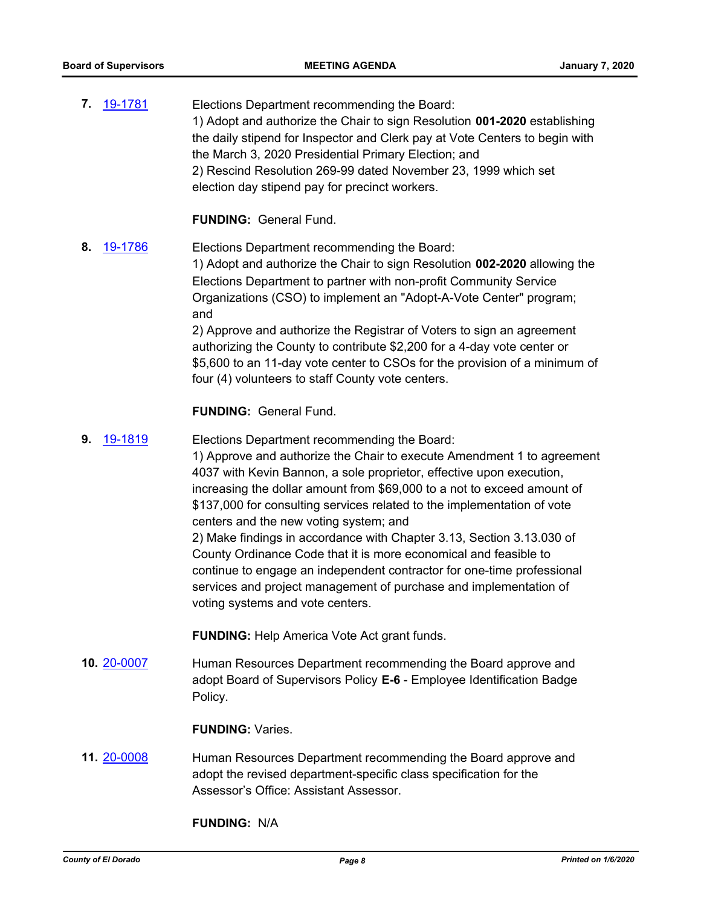| 7. 19-1781    | Elections Department recommending the Board:<br>1) Adopt and authorize the Chair to sign Resolution 001-2020 establishing<br>the daily stipend for Inspector and Clerk pay at Vote Centers to begin with<br>the March 3, 2020 Presidential Primary Election; and<br>2) Rescind Resolution 269-99 dated November 23, 1999 which set<br>election day stipend pay for precinct workers.                                                                                                                                                                                                                                                                                                                                           |
|---------------|--------------------------------------------------------------------------------------------------------------------------------------------------------------------------------------------------------------------------------------------------------------------------------------------------------------------------------------------------------------------------------------------------------------------------------------------------------------------------------------------------------------------------------------------------------------------------------------------------------------------------------------------------------------------------------------------------------------------------------|
|               | <b>FUNDING: General Fund.</b>                                                                                                                                                                                                                                                                                                                                                                                                                                                                                                                                                                                                                                                                                                  |
| 19-1786<br>8. | Elections Department recommending the Board:<br>1) Adopt and authorize the Chair to sign Resolution 002-2020 allowing the<br>Elections Department to partner with non-profit Community Service<br>Organizations (CSO) to implement an "Adopt-A-Vote Center" program;<br>and<br>2) Approve and authorize the Registrar of Voters to sign an agreement<br>authorizing the County to contribute \$2,200 for a 4-day vote center or<br>\$5,600 to an 11-day vote center to CSOs for the provision of a minimum of<br>four (4) volunteers to staff County vote centers.                                                                                                                                                             |
|               | <b>FUNDING: General Fund.</b>                                                                                                                                                                                                                                                                                                                                                                                                                                                                                                                                                                                                                                                                                                  |
| 9.<br>19-1819 | Elections Department recommending the Board:<br>1) Approve and authorize the Chair to execute Amendment 1 to agreement<br>4037 with Kevin Bannon, a sole proprietor, effective upon execution,<br>increasing the dollar amount from \$69,000 to a not to exceed amount of<br>\$137,000 for consulting services related to the implementation of vote<br>centers and the new voting system; and<br>2) Make findings in accordance with Chapter 3.13, Section 3.13.030 of<br>County Ordinance Code that it is more economical and feasible to<br>continue to engage an independent contractor for one-time professional<br>services and project management of purchase and implementation of<br>voting systems and vote centers. |
|               | <b>FUNDING:</b> Help America Vote Act grant funds.                                                                                                                                                                                                                                                                                                                                                                                                                                                                                                                                                                                                                                                                             |
| 10. 20-0007   | Human Resources Department recommending the Board approve and<br>adopt Board of Supervisors Policy E-6 - Employee Identification Badge<br>Policy.                                                                                                                                                                                                                                                                                                                                                                                                                                                                                                                                                                              |
|               | <b>FUNDING: Varies.</b>                                                                                                                                                                                                                                                                                                                                                                                                                                                                                                                                                                                                                                                                                                        |
| 11.20-0008    | Human Resources Department recommending the Board approve and                                                                                                                                                                                                                                                                                                                                                                                                                                                                                                                                                                                                                                                                  |

**11.** [20-0008](http://eldorado.legistar.com/gateway.aspx?m=l&id=/matter.aspx?key=27212) Human Resources Department recommending the Board approve and adopt the revised department-specific class specification for the Assessor's Office: Assistant Assessor.

**FUNDING:** N/A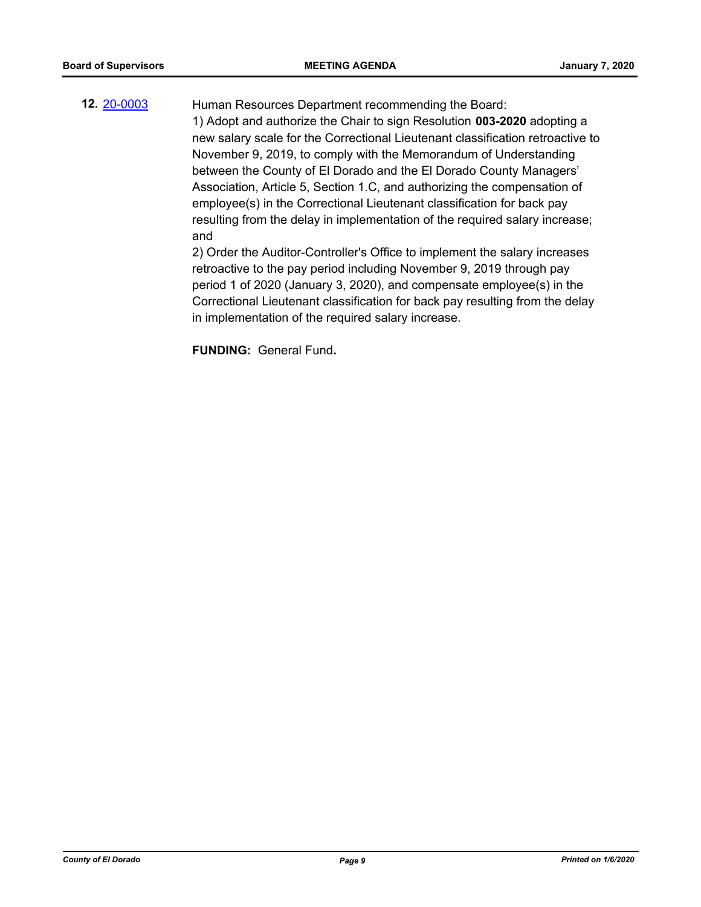# **12.** [20-0003](http://eldorado.legistar.com/gateway.aspx?m=l&id=/matter.aspx?key=27207) Human Resources Department recommending the Board: 1) Adopt and authorize the Chair to sign Resolution **003-2020** adopting a new salary scale for the Correctional Lieutenant classification retroactive to November 9, 2019, to comply with the Memorandum of Understanding between the County of El Dorado and the El Dorado County Managers' Association, Article 5, Section 1.C, and authorizing the compensation of

employee(s) in the Correctional Lieutenant classification for back pay resulting from the delay in implementation of the required salary increase; and

2) Order the Auditor-Controller's Office to implement the salary increases retroactive to the pay period including November 9, 2019 through pay period 1 of 2020 (January 3, 2020), and compensate employee(s) in the Correctional Lieutenant classification for back pay resulting from the delay in implementation of the required salary increase.

**FUNDING:** General Fund**.**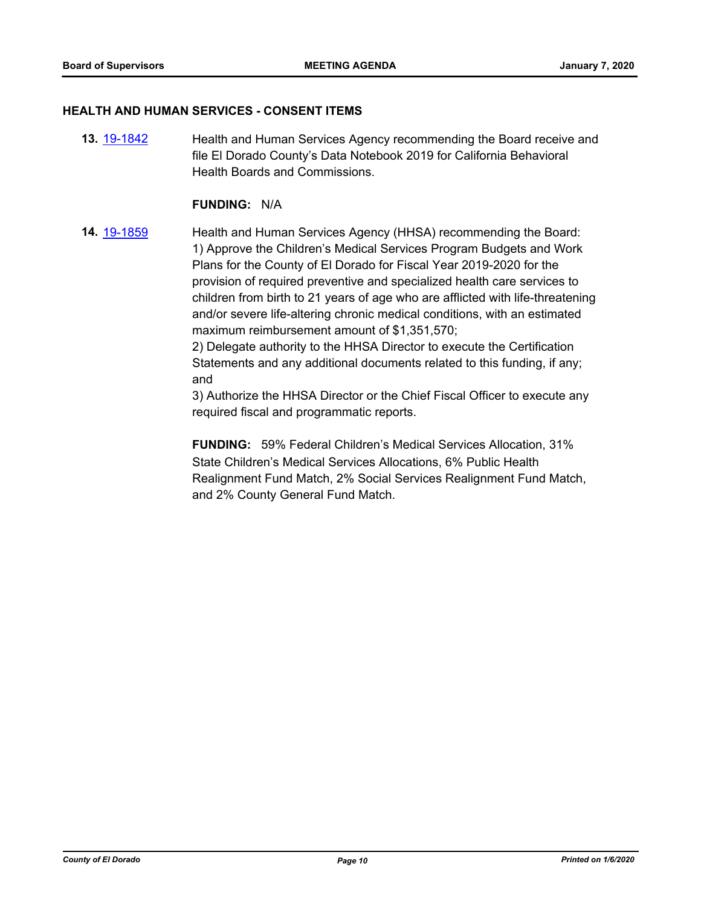#### **HEALTH AND HUMAN SERVICES - CONSENT ITEMS**

**13.** [19-1842](http://eldorado.legistar.com/gateway.aspx?m=l&id=/matter.aspx?key=27166) Health and Human Services Agency recommending the Board receive and file El Dorado County's Data Notebook 2019 for California Behavioral Health Boards and Commissions.

# **FUNDING:** N/A

**14.** [19-1859](http://eldorado.legistar.com/gateway.aspx?m=l&id=/matter.aspx?key=27183) Health and Human Services Agency (HHSA) recommending the Board: 1) Approve the Children's Medical Services Program Budgets and Work Plans for the County of El Dorado for Fiscal Year 2019-2020 for the provision of required preventive and specialized health care services to children from birth to 21 years of age who are afflicted with life-threatening and/or severe life-altering chronic medical conditions, with an estimated maximum reimbursement amount of \$1,351,570;

> 2) Delegate authority to the HHSA Director to execute the Certification Statements and any additional documents related to this funding, if any; and

3) Authorize the HHSA Director or the Chief Fiscal Officer to execute any required fiscal and programmatic reports.

**FUNDING:** 59% Federal Children's Medical Services Allocation, 31% State Children's Medical Services Allocations, 6% Public Health Realignment Fund Match, 2% Social Services Realignment Fund Match, and 2% County General Fund Match.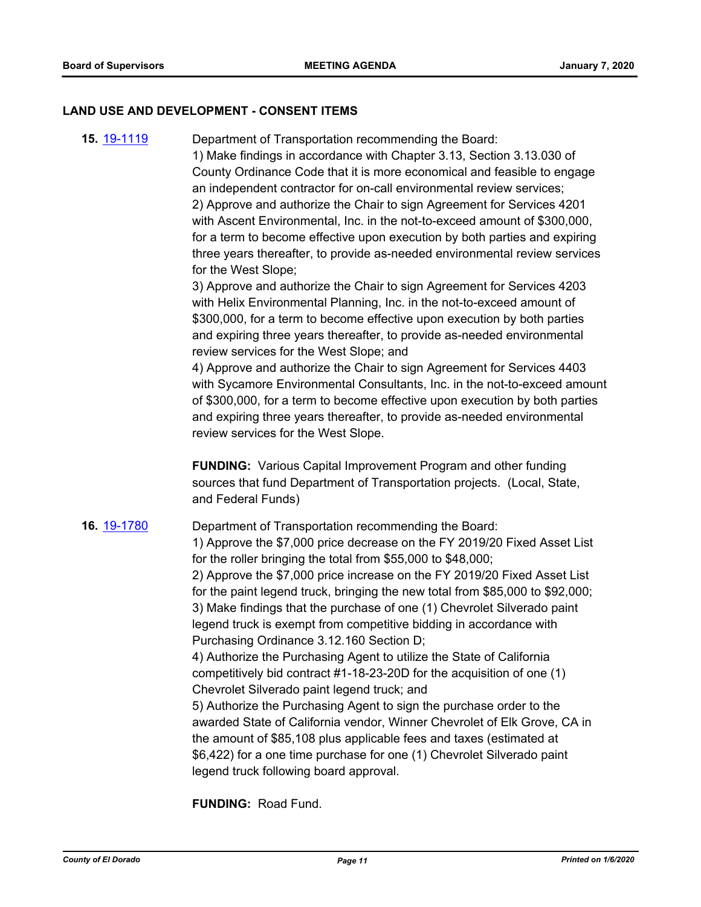#### **LAND USE AND DEVELOPMENT - CONSENT ITEMS**

**15.** [19-1119](http://eldorado.legistar.com/gateway.aspx?m=l&id=/matter.aspx?key=26441) Department of Transportation recommending the Board:

1) Make findings in accordance with Chapter 3.13, Section 3.13.030 of County Ordinance Code that it is more economical and feasible to engage an independent contractor for on-call environmental review services; 2) Approve and authorize the Chair to sign Agreement for Services 4201 with Ascent Environmental, Inc. in the not-to-exceed amount of \$300,000, for a term to become effective upon execution by both parties and expiring three years thereafter, to provide as-needed environmental review services for the West Slope;

3) Approve and authorize the Chair to sign Agreement for Services 4203 with Helix Environmental Planning, Inc. in the not-to-exceed amount of \$300,000, for a term to become effective upon execution by both parties and expiring three years thereafter, to provide as-needed environmental review services for the West Slope; and

4) Approve and authorize the Chair to sign Agreement for Services 4403 with Sycamore Environmental Consultants, Inc. in the not-to-exceed amount of \$300,000, for a term to become effective upon execution by both parties and expiring three years thereafter, to provide as-needed environmental review services for the West Slope.

**FUNDING:** Various Capital Improvement Program and other funding sources that fund Department of Transportation projects. (Local, State, and Federal Funds)

**16.** [19-1780](http://eldorado.legistar.com/gateway.aspx?m=l&id=/matter.aspx?key=27104) Department of Transportation recommending the Board: 1) Approve the \$7,000 price decrease on the FY 2019/20 Fixed Asset List for the roller bringing the total from \$55,000 to \$48,000; 2) Approve the \$7,000 price increase on the FY 2019/20 Fixed Asset List for the paint legend truck, bringing the new total from \$85,000 to \$92,000; 3) Make findings that the purchase of one (1) Chevrolet Silverado paint legend truck is exempt from competitive bidding in accordance with Purchasing Ordinance 3.12.160 Section D; 4) Authorize the Purchasing Agent to utilize the State of California competitively bid contract #1-18-23-20D for the acquisition of one (1) Chevrolet Silverado paint legend truck; and 5) Authorize the Purchasing Agent to sign the purchase order to the awarded State of California vendor, Winner Chevrolet of Elk Grove, CA in the amount of \$85,108 plus applicable fees and taxes (estimated at \$6,422) for a one time purchase for one (1) Chevrolet Silverado paint legend truck following board approval.

**FUNDING:** Road Fund.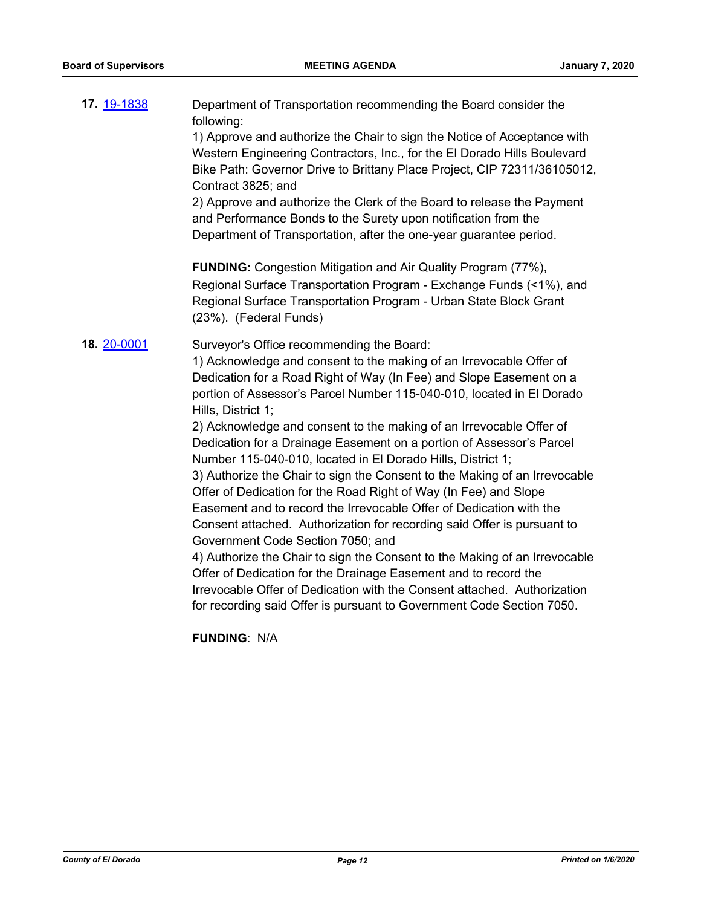| 17. 19-1838 | Department of Transportation recommending the Board consider the<br>following:<br>1) Approve and authorize the Chair to sign the Notice of Acceptance with<br>Western Engineering Contractors, Inc., for the El Dorado Hills Boulevard<br>Bike Path: Governor Drive to Brittany Place Project, CIP 72311/36105012,<br>Contract 3825; and<br>2) Approve and authorize the Clerk of the Board to release the Payment<br>and Performance Bonds to the Surety upon notification from the<br>Department of Transportation, after the one-year guarantee period.                                                                                                                                                                                                                                                                                                                                                                                                                                                                                                                                                                                                                 |
|-------------|----------------------------------------------------------------------------------------------------------------------------------------------------------------------------------------------------------------------------------------------------------------------------------------------------------------------------------------------------------------------------------------------------------------------------------------------------------------------------------------------------------------------------------------------------------------------------------------------------------------------------------------------------------------------------------------------------------------------------------------------------------------------------------------------------------------------------------------------------------------------------------------------------------------------------------------------------------------------------------------------------------------------------------------------------------------------------------------------------------------------------------------------------------------------------|
|             | <b>FUNDING:</b> Congestion Mitigation and Air Quality Program (77%),<br>Regional Surface Transportation Program - Exchange Funds (<1%), and<br>Regional Surface Transportation Program - Urban State Block Grant<br>(23%). (Federal Funds)                                                                                                                                                                                                                                                                                                                                                                                                                                                                                                                                                                                                                                                                                                                                                                                                                                                                                                                                 |
| 18. 20-0001 | Surveyor's Office recommending the Board:<br>1) Acknowledge and consent to the making of an Irrevocable Offer of<br>Dedication for a Road Right of Way (In Fee) and Slope Easement on a<br>portion of Assessor's Parcel Number 115-040-010, located in El Dorado<br>Hills, District 1;<br>2) Acknowledge and consent to the making of an Irrevocable Offer of<br>Dedication for a Drainage Easement on a portion of Assessor's Parcel<br>Number 115-040-010, located in El Dorado Hills, District 1;<br>3) Authorize the Chair to sign the Consent to the Making of an Irrevocable<br>Offer of Dedication for the Road Right of Way (In Fee) and Slope<br>Easement and to record the Irrevocable Offer of Dedication with the<br>Consent attached. Authorization for recording said Offer is pursuant to<br>Government Code Section 7050; and<br>4) Authorize the Chair to sign the Consent to the Making of an Irrevocable<br>Offer of Dedication for the Drainage Easement and to record the<br>Irrevocable Offer of Dedication with the Consent attached. Authorization<br>for recording said Offer is pursuant to Government Code Section 7050.<br><b>FUNDING: N/A</b> |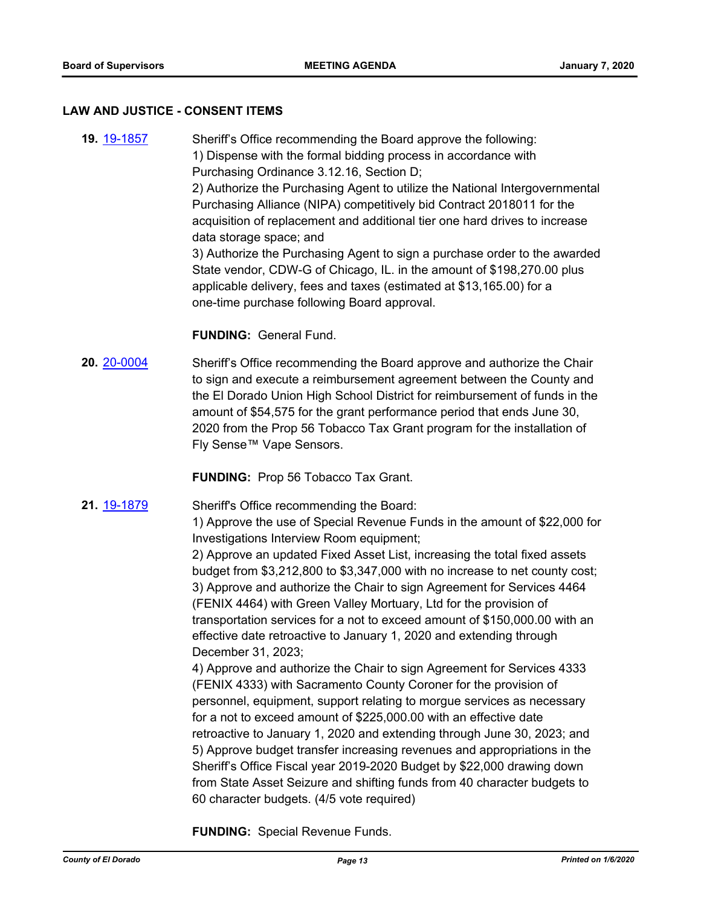#### **LAW AND JUSTICE - CONSENT ITEMS**

**19.** [19-1857](http://eldorado.legistar.com/gateway.aspx?m=l&id=/matter.aspx?key=27181) Sheriff's Office recommending the Board approve the following: 1) Dispense with the formal bidding process in accordance with Purchasing Ordinance 3.12.16, Section D; 2) Authorize the Purchasing Agent to utilize the National Intergovernmental Purchasing Alliance (NIPA) competitively bid Contract 2018011 for the acquisition of replacement and additional tier one hard drives to increase data storage space; and 3) Authorize the Purchasing Agent to sign a purchase order to the awarded State vendor, CDW-G of Chicago, IL. in the amount of \$198,270.00 plus applicable delivery, fees and taxes (estimated at \$13,165.00) for a one-time purchase following Board approval.

# **FUNDING:** General Fund.

**20.** [20-0004](http://eldorado.legistar.com/gateway.aspx?m=l&id=/matter.aspx?key=27208) Sheriff's Office recommending the Board approve and authorize the Chair to sign and execute a reimbursement agreement between the County and the El Dorado Union High School District for reimbursement of funds in the amount of \$54,575 for the grant performance period that ends June 30, 2020 from the Prop 56 Tobacco Tax Grant program for the installation of Fly Sense™ Vape Sensors.

**FUNDING:** Prop 56 Tobacco Tax Grant.

**21.** [19-1879](http://eldorado.legistar.com/gateway.aspx?m=l&id=/matter.aspx?key=27203) Sheriff's Office recommending the Board:

1) Approve the use of Special Revenue Funds in the amount of \$22,000 for Investigations Interview Room equipment;

2) Approve an updated Fixed Asset List, increasing the total fixed assets budget from \$3,212,800 to \$3,347,000 with no increase to net county cost; 3) Approve and authorize the Chair to sign Agreement for Services 4464 (FENIX 4464) with Green Valley Mortuary, Ltd for the provision of transportation services for a not to exceed amount of \$150,000.00 with an effective date retroactive to January 1, 2020 and extending through December 31, 2023;

4) Approve and authorize the Chair to sign Agreement for Services 4333 (FENIX 4333) with Sacramento County Coroner for the provision of personnel, equipment, support relating to morgue services as necessary for a not to exceed amount of \$225,000.00 with an effective date retroactive to January 1, 2020 and extending through June 30, 2023; and 5) Approve budget transfer increasing revenues and appropriations in the Sheriff's Office Fiscal year 2019-2020 Budget by \$22,000 drawing down from State Asset Seizure and shifting funds from 40 character budgets to 60 character budgets. (4/5 vote required)

**FUNDING:** Special Revenue Funds.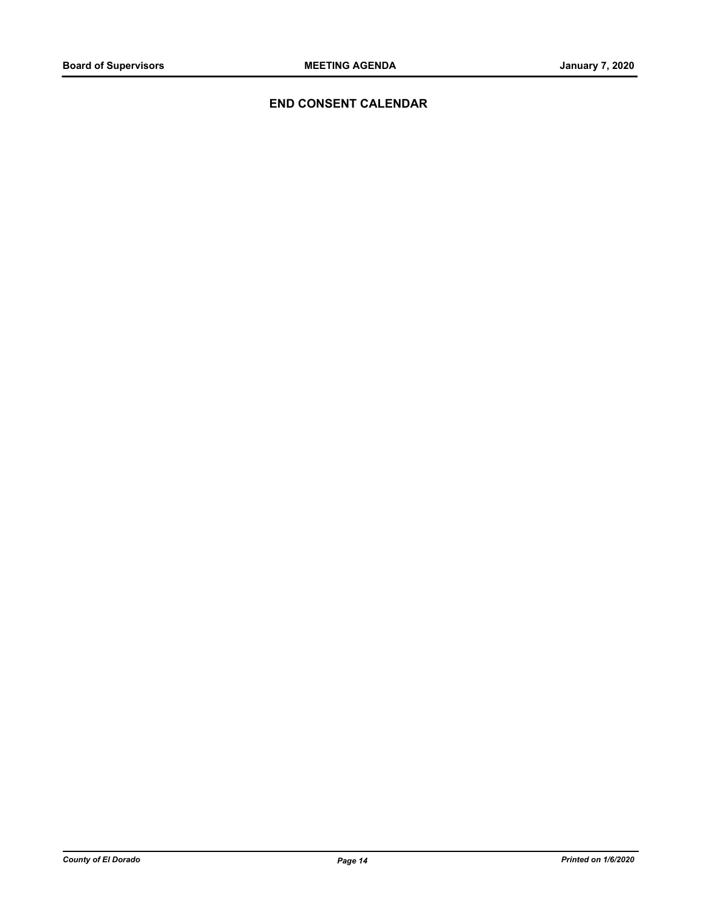# **END CONSENT CALENDAR**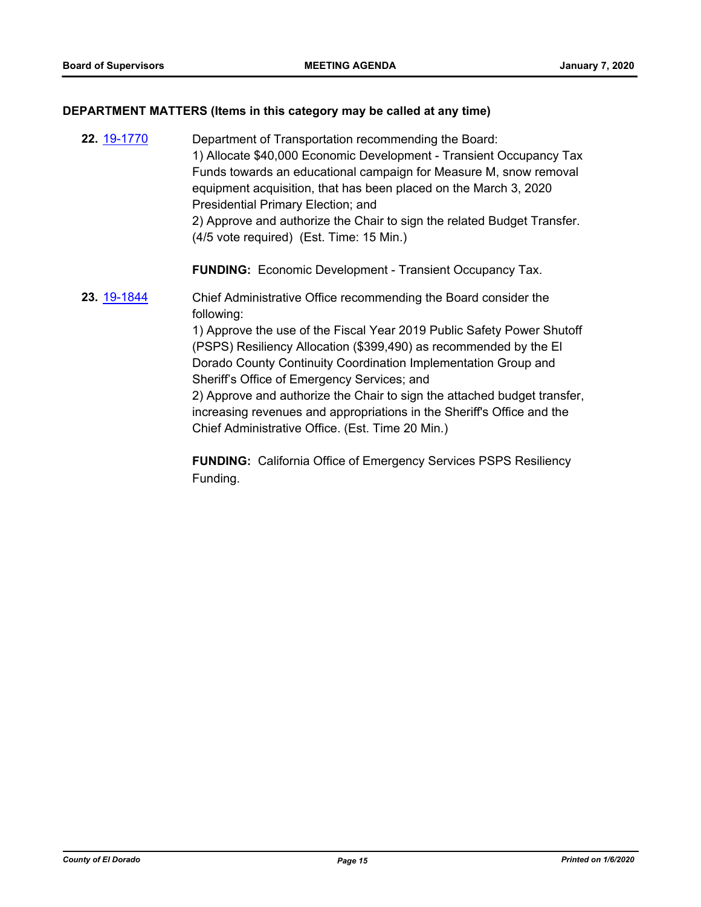# **DEPARTMENT MATTERS (Items in this category may be called at any time)**

| 22. 19-1770 | Department of Transportation recommending the Board:<br>1) Allocate \$40,000 Economic Development - Transient Occupancy Tax<br>Funds towards an educational campaign for Measure M, snow removal<br>equipment acquisition, that has been placed on the March 3, 2020<br>Presidential Primary Election; and<br>2) Approve and authorize the Chair to sign the related Budget Transfer.<br>(4/5 vote required) (Est. Time: 15 Min.)                                                                                                                       |
|-------------|---------------------------------------------------------------------------------------------------------------------------------------------------------------------------------------------------------------------------------------------------------------------------------------------------------------------------------------------------------------------------------------------------------------------------------------------------------------------------------------------------------------------------------------------------------|
|             | <b>FUNDING:</b> Economic Development - Transient Occupancy Tax.                                                                                                                                                                                                                                                                                                                                                                                                                                                                                         |
| 23. 19-1844 | Chief Administrative Office recommending the Board consider the<br>following:<br>1) Approve the use of the Fiscal Year 2019 Public Safety Power Shutoff<br>(PSPS) Resiliency Allocation (\$399,490) as recommended by the El<br>Dorado County Continuity Coordination Implementation Group and<br>Sheriff's Office of Emergency Services; and<br>2) Approve and authorize the Chair to sign the attached budget transfer,<br>increasing revenues and appropriations in the Sheriff's Office and the<br>Chief Administrative Office. (Est. Time 20 Min.) |

**FUNDING:** California Office of Emergency Services PSPS Resiliency Funding.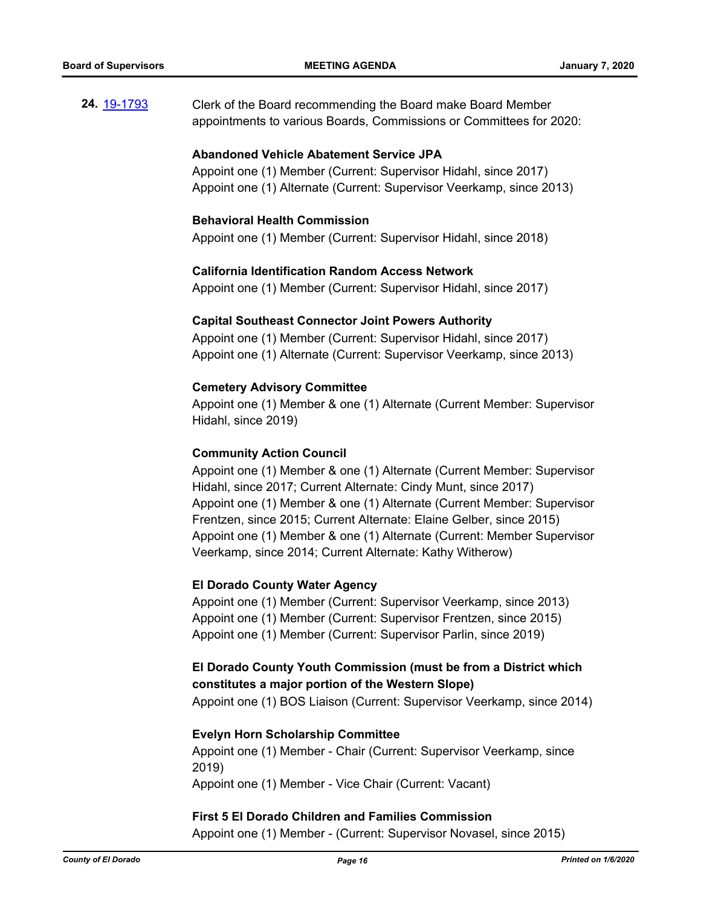**24.** [19-1793](http://eldorado.legistar.com/gateway.aspx?m=l&id=/matter.aspx?key=27117) Clerk of the Board recommending the Board make Board Member appointments to various Boards, Commissions or Committees for 2020:

#### **Abandoned Vehicle Abatement Service JPA**

Appoint one (1) Member (Current: Supervisor Hidahl, since 2017) Appoint one (1) Alternate (Current: Supervisor Veerkamp, since 2013)

#### **Behavioral Health Commission**

Appoint one (1) Member (Current: Supervisor Hidahl, since 2018)

#### **California Identification Random Access Network**

Appoint one (1) Member (Current: Supervisor Hidahl, since 2017)

#### **Capital Southeast Connector Joint Powers Authority**

Appoint one (1) Member (Current: Supervisor Hidahl, since 2017) Appoint one (1) Alternate (Current: Supervisor Veerkamp, since 2013)

#### **Cemetery Advisory Committee**

Appoint one (1) Member & one (1) Alternate (Current Member: Supervisor Hidahl, since 2019)

#### **Community Action Council**

Appoint one (1) Member & one (1) Alternate (Current Member: Supervisor Hidahl, since 2017; Current Alternate: Cindy Munt, since 2017) Appoint one (1) Member & one (1) Alternate (Current Member: Supervisor Frentzen, since 2015; Current Alternate: Elaine Gelber, since 2015) Appoint one (1) Member & one (1) Alternate (Current: Member Supervisor Veerkamp, since 2014; Current Alternate: Kathy Witherow)

## **El Dorado County Water Agency**

Appoint one (1) Member (Current: Supervisor Veerkamp, since 2013) Appoint one (1) Member (Current: Supervisor Frentzen, since 2015) Appoint one (1) Member (Current: Supervisor Parlin, since 2019)

# **El Dorado County Youth Commission (must be from a District which constitutes a major portion of the Western Slope)**

Appoint one (1) BOS Liaison (Current: Supervisor Veerkamp, since 2014)

#### **Evelyn Horn Scholarship Committee**

Appoint one (1) Member - Chair (Current: Supervisor Veerkamp, since 2019) Appoint one (1) Member - Vice Chair (Current: Vacant)

#### **First 5 El Dorado Children and Families Commission**

Appoint one (1) Member - (Current: Supervisor Novasel, since 2015)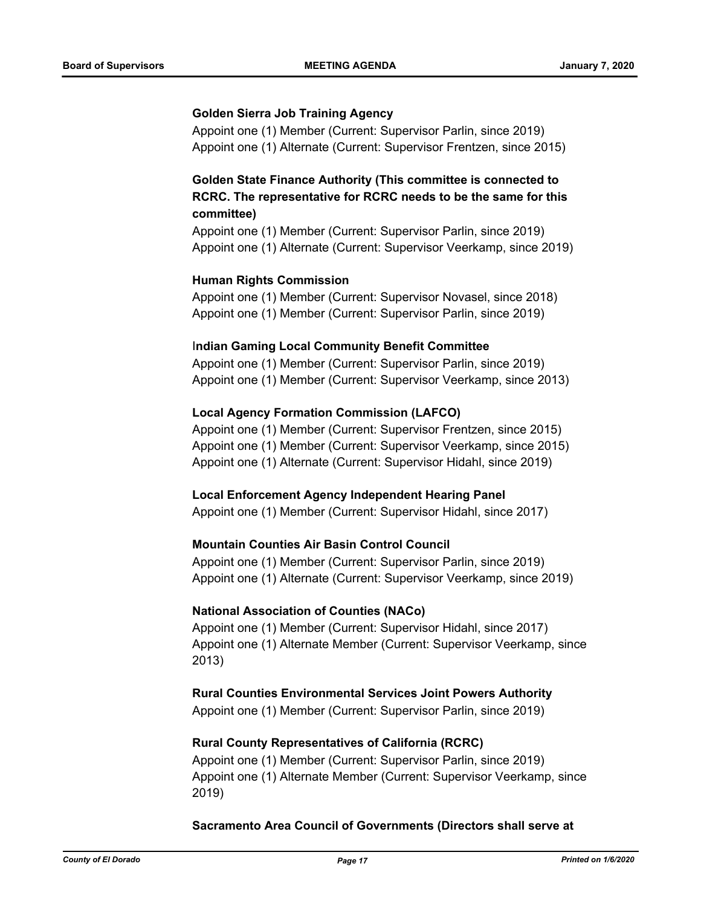#### **Golden Sierra Job Training Agency**

Appoint one (1) Member (Current: Supervisor Parlin, since 2019) Appoint one (1) Alternate (Current: Supervisor Frentzen, since 2015)

# **Golden State Finance Authority (This committee is connected to RCRC. The representative for RCRC needs to be the same for this committee)**

Appoint one (1) Member (Current: Supervisor Parlin, since 2019) Appoint one (1) Alternate (Current: Supervisor Veerkamp, since 2019)

## **Human Rights Commission**

Appoint one (1) Member (Current: Supervisor Novasel, since 2018) Appoint one (1) Member (Current: Supervisor Parlin, since 2019)

#### I**ndian Gaming Local Community Benefit Committee**

Appoint one (1) Member (Current: Supervisor Parlin, since 2019) Appoint one (1) Member (Current: Supervisor Veerkamp, since 2013)

## **Local Agency Formation Commission (LAFCO)**

Appoint one (1) Member (Current: Supervisor Frentzen, since 2015) Appoint one (1) Member (Current: Supervisor Veerkamp, since 2015) Appoint one (1) Alternate (Current: Supervisor Hidahl, since 2019)

#### **Local Enforcement Agency Independent Hearing Panel**

Appoint one (1) Member (Current: Supervisor Hidahl, since 2017)

#### **Mountain Counties Air Basin Control Council**

Appoint one (1) Member (Current: Supervisor Parlin, since 2019) Appoint one (1) Alternate (Current: Supervisor Veerkamp, since 2019)

#### **National Association of Counties (NACo)**

Appoint one (1) Member (Current: Supervisor Hidahl, since 2017) Appoint one (1) Alternate Member (Current: Supervisor Veerkamp, since 2013)

**Rural Counties Environmental Services Joint Powers Authority**

Appoint one (1) Member (Current: Supervisor Parlin, since 2019)

#### **Rural County Representatives of California (RCRC)**

Appoint one (1) Member (Current: Supervisor Parlin, since 2019) Appoint one (1) Alternate Member (Current: Supervisor Veerkamp, since 2019)

#### **Sacramento Area Council of Governments (Directors shall serve at**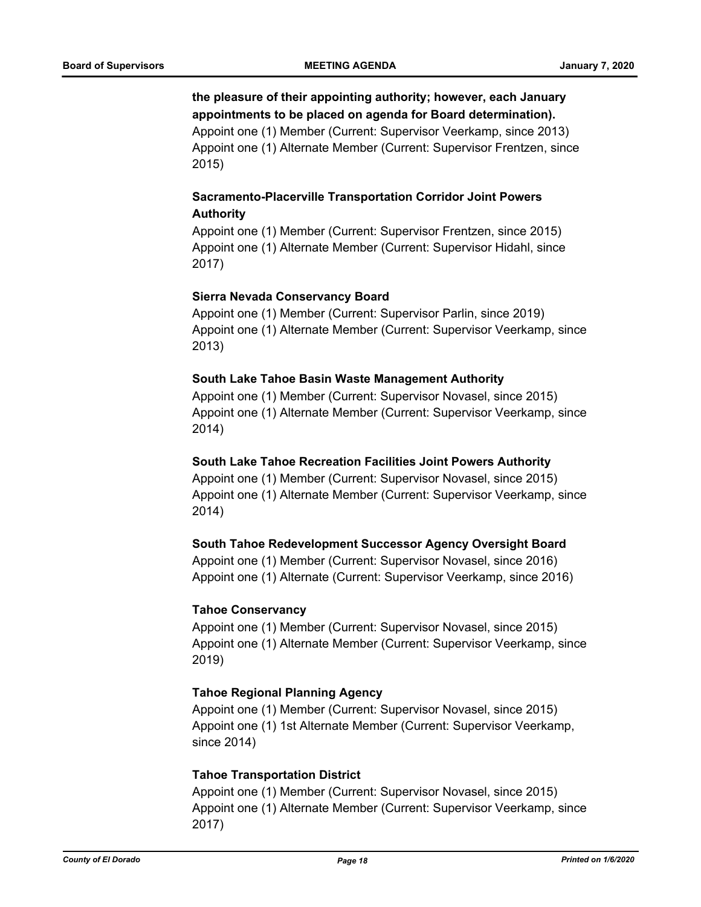# **the pleasure of their appointing authority; however, each January appointments to be placed on agenda for Board determination).**

Appoint one (1) Member (Current: Supervisor Veerkamp, since 2013) Appoint one (1) Alternate Member (Current: Supervisor Frentzen, since 2015)

# **Sacramento-Placerville Transportation Corridor Joint Powers Authority**

Appoint one (1) Member (Current: Supervisor Frentzen, since 2015) Appoint one (1) Alternate Member (Current: Supervisor Hidahl, since 2017)

# **Sierra Nevada Conservancy Board**

Appoint one (1) Member (Current: Supervisor Parlin, since 2019) Appoint one (1) Alternate Member (Current: Supervisor Veerkamp, since 2013)

# **South Lake Tahoe Basin Waste Management Authority**

Appoint one (1) Member (Current: Supervisor Novasel, since 2015) Appoint one (1) Alternate Member (Current: Supervisor Veerkamp, since 2014)

# **South Lake Tahoe Recreation Facilities Joint Powers Authority**

Appoint one (1) Member (Current: Supervisor Novasel, since 2015) Appoint one (1) Alternate Member (Current: Supervisor Veerkamp, since 2014)

# **South Tahoe Redevelopment Successor Agency Oversight Board**

Appoint one (1) Member (Current: Supervisor Novasel, since 2016) Appoint one (1) Alternate (Current: Supervisor Veerkamp, since 2016)

# **Tahoe Conservancy**

Appoint one (1) Member (Current: Supervisor Novasel, since 2015) Appoint one (1) Alternate Member (Current: Supervisor Veerkamp, since 2019)

# **Tahoe Regional Planning Agency**

Appoint one (1) Member (Current: Supervisor Novasel, since 2015) Appoint one (1) 1st Alternate Member (Current: Supervisor Veerkamp, since 2014)

# **Tahoe Transportation District**

Appoint one (1) Member (Current: Supervisor Novasel, since 2015) Appoint one (1) Alternate Member (Current: Supervisor Veerkamp, since 2017)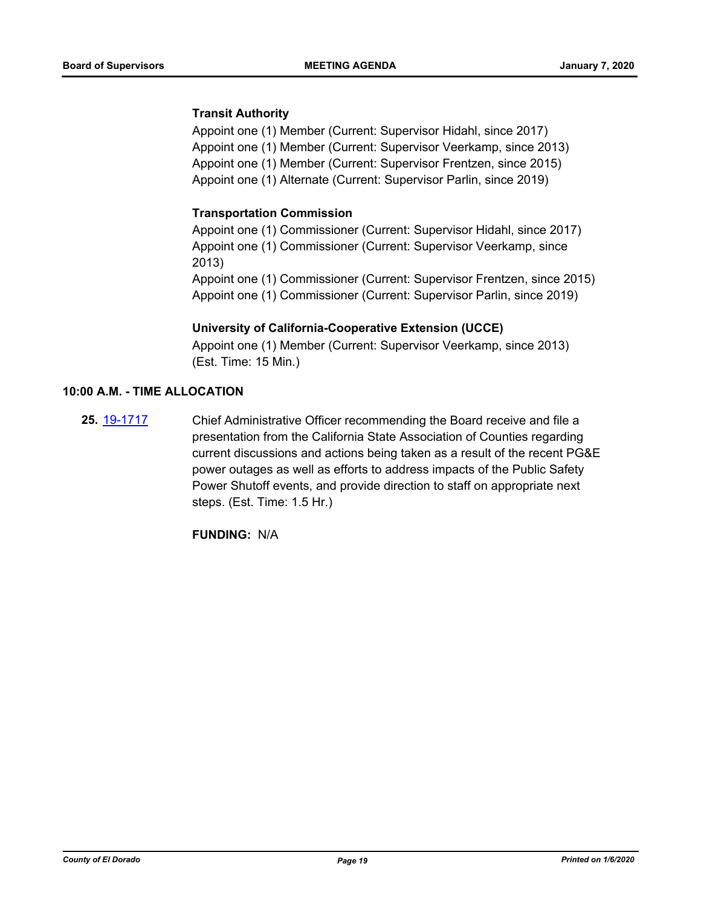# **Transit Authority**

Appoint one (1) Member (Current: Supervisor Hidahl, since 2017) Appoint one (1) Member (Current: Supervisor Veerkamp, since 2013) Appoint one (1) Member (Current: Supervisor Frentzen, since 2015) Appoint one (1) Alternate (Current: Supervisor Parlin, since 2019)

# **Transportation Commission**

Appoint one (1) Commissioner (Current: Supervisor Hidahl, since 2017) Appoint one (1) Commissioner (Current: Supervisor Veerkamp, since 2013) Appoint one (1) Commissioner (Current: Supervisor Frentzen, since 2015) Appoint one (1) Commissioner (Current: Supervisor Parlin, since 2019)

## **University of California-Cooperative Extension (UCCE)**

Appoint one (1) Member (Current: Supervisor Veerkamp, since 2013) (Est. Time: 15 Min.)

#### **10:00 A.M. - TIME ALLOCATION**

**25.** [19-1717](http://eldorado.legistar.com/gateway.aspx?m=l&id=/matter.aspx?key=27041) Chief Administrative Officer recommending the Board receive and file a presentation from the California State Association of Counties regarding current discussions and actions being taken as a result of the recent PG&E power outages as well as efforts to address impacts of the Public Safety Power Shutoff events, and provide direction to staff on appropriate next steps. (Est. Time: 1.5 Hr.)

**FUNDING:** N/A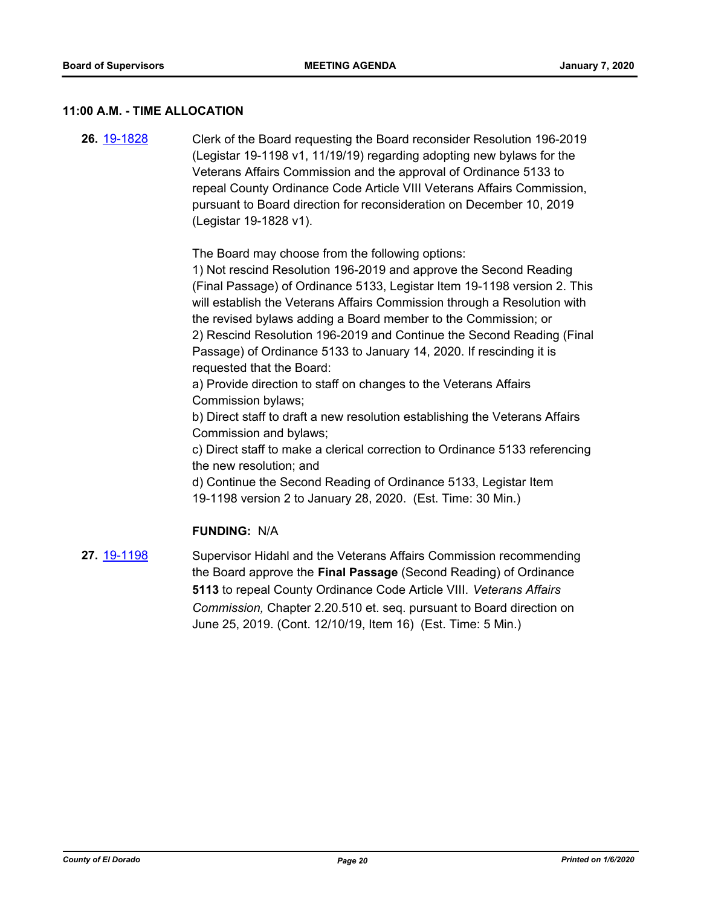#### **11:00 A.M. - TIME ALLOCATION**

**26.** [19-1828](http://eldorado.legistar.com/gateway.aspx?m=l&id=/matter.aspx?key=27152) Clerk of the Board requesting the Board reconsider Resolution 196-2019 (Legistar 19-1198 v1, 11/19/19) regarding adopting new bylaws for the Veterans Affairs Commission and the approval of Ordinance 5133 to repeal County Ordinance Code Article VIII Veterans Affairs Commission, pursuant to Board direction for reconsideration on December 10, 2019 (Legistar 19-1828 v1).

The Board may choose from the following options:

1) Not rescind Resolution 196-2019 and approve the Second Reading (Final Passage) of Ordinance 5133, Legistar Item 19-1198 version 2. This will establish the Veterans Affairs Commission through a Resolution with the revised bylaws adding a Board member to the Commission; or 2) Rescind Resolution 196-2019 and Continue the Second Reading (Final Passage) of Ordinance 5133 to January 14, 2020. If rescinding it is requested that the Board:

a) Provide direction to staff on changes to the Veterans Affairs Commission bylaws;

b) Direct staff to draft a new resolution establishing the Veterans Affairs Commission and bylaws;

c) Direct staff to make a clerical correction to Ordinance 5133 referencing the new resolution; and

d) Continue the Second Reading of Ordinance 5133, Legistar Item 19-1198 version 2 to January 28, 2020. (Est. Time: 30 Min.)

## **FUNDING:** N/A

**27.** [19-1198](http://eldorado.legistar.com/gateway.aspx?m=l&id=/matter.aspx?key=26521) Supervisor Hidahl and the Veterans Affairs Commission recommending the Board approve the **Final Passage** (Second Reading) of Ordinance **5113** to repeal County Ordinance Code Article VIII. *Veterans Affairs Commission,* Chapter 2.20.510 et. seq. pursuant to Board direction on June 25, 2019. (Cont. 12/10/19, Item 16) (Est. Time: 5 Min.)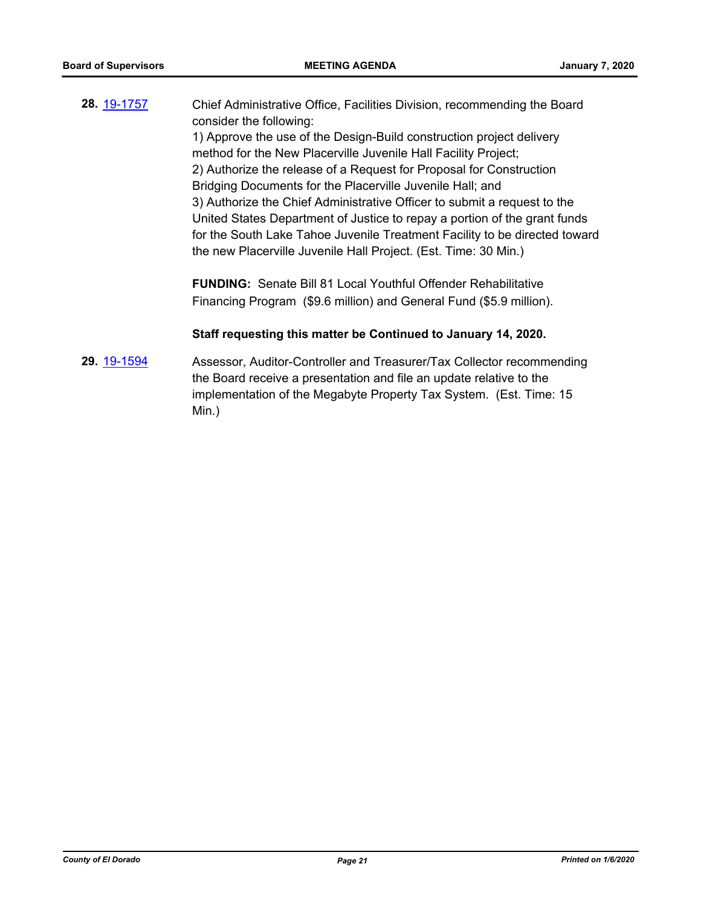| 28. 19-1757 | Chief Administrative Office, Facilities Division, recommending the Board<br>consider the following: |
|-------------|-----------------------------------------------------------------------------------------------------|
|             | 1) Approve the use of the Design-Build construction project delivery                                |
|             | method for the New Placerville Juvenile Hall Facility Project;                                      |
|             | 2) Authorize the release of a Request for Proposal for Construction                                 |
|             | Bridging Documents for the Placerville Juvenile Hall; and                                           |
|             | 3) Authorize the Chief Administrative Officer to submit a request to the                            |
|             | United States Department of Justice to repay a portion of the grant funds                           |
|             | for the South Lake Tahoe Juvenile Treatment Facility to be directed toward                          |
|             | the new Placerville Juvenile Hall Project. (Est. Time: 30 Min.)                                     |
|             |                                                                                                     |
|             | <b>FUNDING:</b> Senate Bill 81 Local Youthful Offender Rehabilitative                               |

Financing Program (\$9.6 million) and General Fund (\$5.9 million).

# **Staff requesting this matter be Continued to January 14, 2020.**

**29.** [19-1594](http://eldorado.legistar.com/gateway.aspx?m=l&id=/matter.aspx?key=26918) Assessor, Auditor-Controller and Treasurer/Tax Collector recommending the Board receive a presentation and file an update relative to the implementation of the Megabyte Property Tax System. (Est. Time: 15 Min.)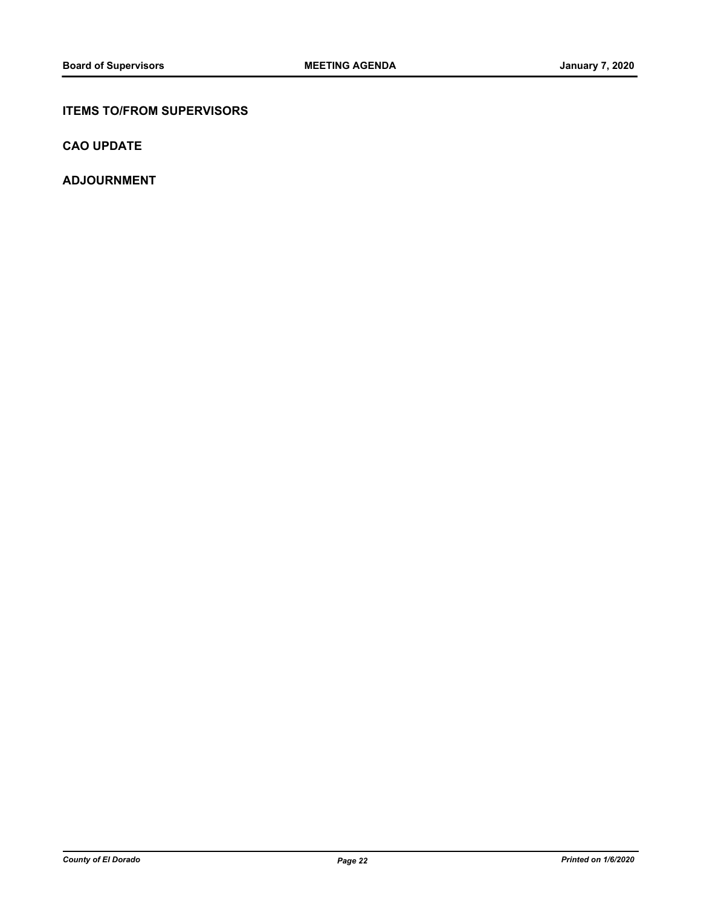# **ITEMS TO/FROM SUPERVISORS**

**CAO UPDATE**

**ADJOURNMENT**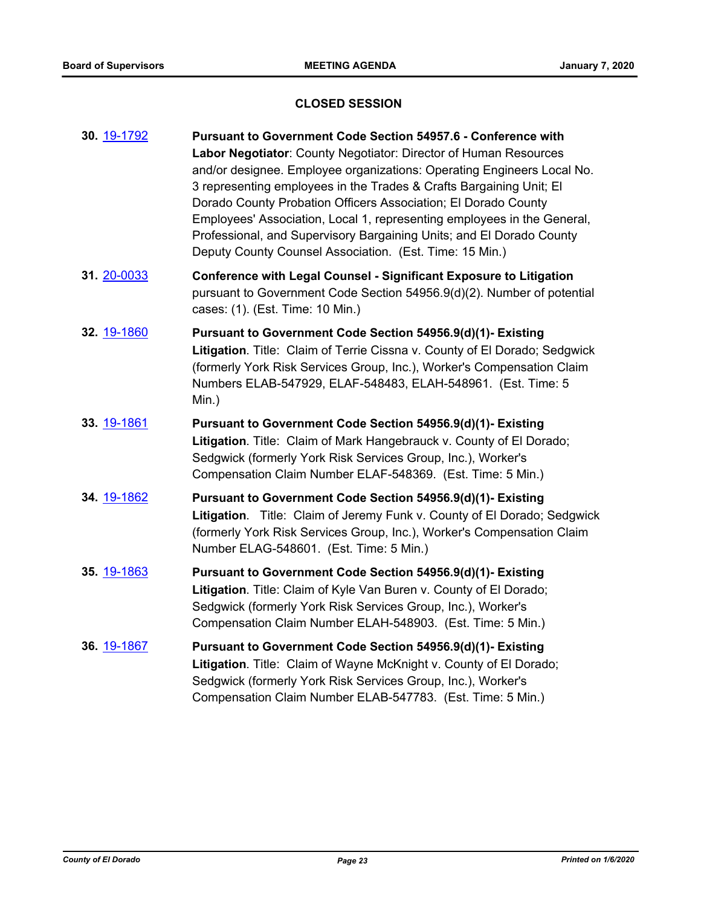## **CLOSED SESSION**

| 30. 19-1792 | <b>Pursuant to Government Code Section 54957.6 - Conference with</b>      |
|-------------|---------------------------------------------------------------------------|
|             | Labor Negotiator: County Negotiator: Director of Human Resources          |
|             | and/or designee. Employee organizations: Operating Engineers Local No.    |
|             | 3 representing employees in the Trades & Crafts Bargaining Unit; El       |
|             | Dorado County Probation Officers Association; El Dorado County            |
|             | Employees' Association, Local 1, representing employees in the General,   |
|             | Professional, and Supervisory Bargaining Units; and El Dorado County      |
|             | Deputy County Counsel Association. (Est. Time: 15 Min.)                   |
| 31. 20-0033 | <b>Conference with Legal Counsel - Significant Exposure to Litigation</b> |
|             | pursuant to Government Code Section 54956.9(d)(2). Number of potential    |

cases: (1). (Est. Time: 10 Min.)

- **32.** [19-1860](http://eldorado.legistar.com/gateway.aspx?m=l&id=/matter.aspx?key=27184) **Pursuant to Government Code Section 54956.9(d)(1)- Existing Litigation**. Title: Claim of Terrie Cissna v. County of El Dorado; Sedgwick (formerly York Risk Services Group, Inc.), Worker's Compensation Claim Numbers ELAB-547929, ELAF-548483, ELAH-548961. (Est. Time: 5 Min.)
- **33.** [19-1861](http://eldorado.legistar.com/gateway.aspx?m=l&id=/matter.aspx?key=27185) **Pursuant to Government Code Section 54956.9(d)(1)- Existing Litigation**. Title: Claim of Mark Hangebrauck v. County of El Dorado; Sedgwick (formerly York Risk Services Group, Inc.), Worker's Compensation Claim Number ELAF-548369. (Est. Time: 5 Min.)
- **34.** [19-1862](http://eldorado.legistar.com/gateway.aspx?m=l&id=/matter.aspx?key=27186) **Pursuant to Government Code Section 54956.9(d)(1)- Existing Litigation**. Title: Claim of Jeremy Funk v. County of El Dorado; Sedgwick (formerly York Risk Services Group, Inc.), Worker's Compensation Claim Number ELAG-548601. (Est. Time: 5 Min.)
- **35.** [19-1863](http://eldorado.legistar.com/gateway.aspx?m=l&id=/matter.aspx?key=27187) **Pursuant to Government Code Section 54956.9(d)(1)- Existing Litigation**. Title: Claim of Kyle Van Buren v. County of El Dorado; Sedgwick (formerly York Risk Services Group, Inc.), Worker's Compensation Claim Number ELAH-548903. (Est. Time: 5 Min.)
- **36.** [19-1867](http://eldorado.legistar.com/gateway.aspx?m=l&id=/matter.aspx?key=27191) **Pursuant to Government Code Section 54956.9(d)(1)- Existing Litigation**. Title: Claim of Wayne McKnight v. County of El Dorado; Sedgwick (formerly York Risk Services Group, Inc.), Worker's Compensation Claim Number ELAB-547783. (Est. Time: 5 Min.)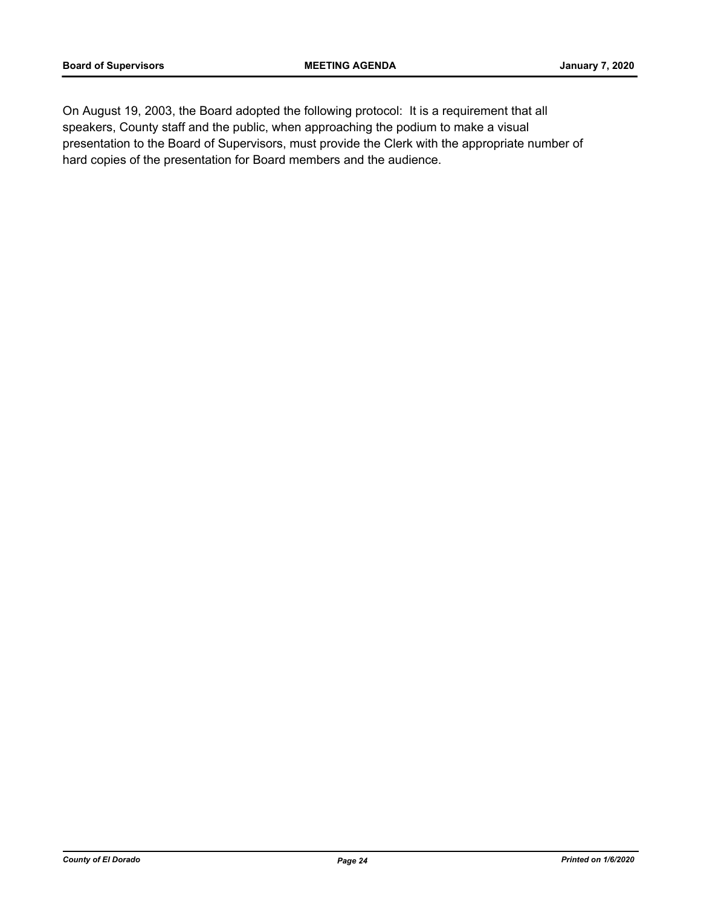On August 19, 2003, the Board adopted the following protocol: It is a requirement that all speakers, County staff and the public, when approaching the podium to make a visual presentation to the Board of Supervisors, must provide the Clerk with the appropriate number of hard copies of the presentation for Board members and the audience.